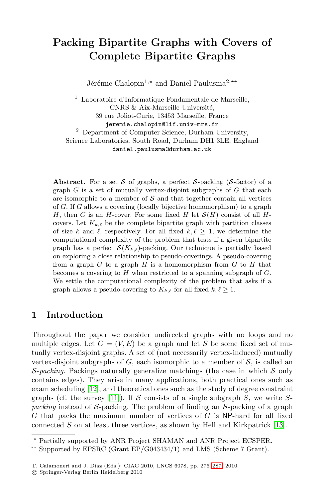# **Packing Bipartite Graphs with Covers of Complete Bipartite Graphs**

Jérémie Chalopin<sup>1,\*</sup> and Daniël Paulusma<sup>2,\*\*</sup>

<sup>1</sup> Laboratoire d'Informatique Fondamentale de Marseille, CNRS & Aix-Marseille Université, 39 rue Joliot-Curie, 13453 Marseille, France jeremie.chalopin@lif.univ-mrs.fr <sup>2</sup> Department of Computer Science, Durham University, Science Laboratories, South Road, Durham DH1 3LE, England daniel.paulusma@durham.ac.uk

**Abstract.** For a set S of graphs, a perfect S-packing  $(S\text{-factor})$  of a graph  $G$  is a set of mutually vertex-disjoint subgraphs of  $G$  that each are isomorphic to a member of  $S$  and that together contain all vertices of G. If G allows a covering (locally bijective homomorphism) to a graph H, then G is an H-cover. For some fixed H let  $\mathcal{S}(H)$  consist of all Hcovers. Let  $K_{k,\ell}$  be the complete bipartite graph with partition classes of size k and  $\ell$ , respectively. For all fixed  $k, \ell \geq 1$ , we determine the computational complexity of the problem that tests if a given bipartite graph has a perfect  $\mathcal{S}(K_{k,\ell})$ -packing. Our technique is partially based on exploring a close relationship to pseudo-coverings. A pseudo-covering from a graph  $G$  to a graph  $H$  is a homomorphism from  $G$  to  $H$  that becomes a covering to  $H$  when restricted to a spanning subgraph of  $G$ . We settle the computational complexity of the problem that asks if a graph allows a pseudo-covering to  $K_{k,\ell}$  for all fixed  $k,\ell \geq 1$ .

## <span id="page-0-0"></span>**[1](#page-11-0) Introduction**

Throughout the paper we consider undirected graphs with no loops and no multiple edges. Let  $G = (V, E)$  be a graph and let S be some fixed set of mutually vertex-disjoint graphs. A set of (not necessarily [vert](#page-11-1)ex-induced) mutually vertex-disjoint subgraphs of G, each isomorphic to a member of  $S$ , is called an  $\mathcal{S}$ -*packing*. Packings naturally generalize matchings (the case in which  $\mathcal{S}$  only contains edges). They arise in many applications, both practical ones such as exam scheduling [12], and theoretical ones such as the study of degree constraint graphs (cf. the survey [11]). If S c[onsi](#page-11-2)sts of a single subgraph S, we write  $S$ *packing* instead of S-packing. The problem of finding an S-packing of a graph G that packs the maximum number of vertices of  $G$  is NP-hard for all fixed connected  $S$  on at least three vertices, as shown by Hell and Kirkpatrick [13].

 $^\star$  Partially supported by ANR Project SHAMAN and ANR Project ECSPER.  $^{**}$  Supported by EPSRC (Grant EP/G043434/1) and LMS (Scheme 7 Grant).

T. Calamoneri and J. Diaz (Eds.): CIAC 2010, LNCS 6078, pp. 276–287, 2010.

<sup>-</sup>c Springer-Verlag Berlin Heidelberg 2010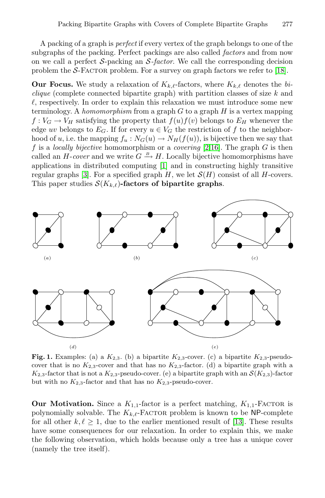A packing of a graph is *perfect* if every vertex of the graph belongs to one of the subgraphs of the packing. Perfect packings are also called *factors* and from now on we call a perfect S-packing an S*-factor*. We call the corresponding decision problem the  $S$ -FACTOR problem. For a survey on graph factors we refer to [18].

**Our Focus.** We study a relaxat[io](#page-10-0)[n](#page-11-3) [of](#page-11-3)  $K_{k,\ell}$ -factors, where  $K_{k,\ell}$  denotes the *biclique* (complete co[nne](#page-10-1)cted bipartite graph) with partition classes of size k and  $\ell$ , respectively. In order to explain this relaxation we must introduce some new terminology. A *homomorphism* from a graph G to a graph H is a vertex mapping  $f: V_G \to V_H$  satisfying the property that  $f(u)f(v)$  belongs to  $E_H$  whenever the edge uv belongs to  $E_G$ . If for every  $u \in V_G$  the restriction of f to the neighborhood of u, i.e. the mapping  $f_u : N_G(u) \to N_H(f(u))$ , is bijective then we say that f is a *locally bijective* homomorphism or a *covering* [2,16]. The graph G is then called an  $H$ -cover and we write  $G \stackrel{B}{\rightarrow} H$ . Locally bijective homomorphisms have applications in distributed computing [1] and in constructing highly transitive regular graphs [3]. For a specified graph H, we let  $\mathcal{S}(H)$  consist of all H-covers. This paper studies  $\mathcal{S}(K_{k,\ell})$ -factors of bipartite graphs.



**Fig. 1.** Examples: (a) a  $K_{2,3}$  $K_{2,3}$ . (b) a bipartite  $K_{2,3}$ -cover. (c) a bipartite  $K_{2,3}$ -pseudocover that is no  $K_{2,3}$ -cover and that has no  $K_{2,3}$ -factor. (d) a bipartite graph with a  $K_{2,3}$ -factor that is not a  $K_{2,3}$ -pseudo-cover. (e) a bipartite graph with an  $\mathcal{S}(K_{2,3})$ -factor but with no  $K_{2,3}$ -factor and that has no  $K_{2,3}$ -pseudo-cover.

<span id="page-1-0"></span>**Our Motivation.** Since a  $K_{1,1}$ -factor is a perfect matching,  $K_{1,1}$ -FACTOR is polynomially solvable. The  $K_{k,\ell}$ -Factor problem is known to be NP-complete for all other  $k, \ell \geq 1$ , due to the earlier mentioned result of [13]. These results have some consequences for our relaxation. In order to explain this, we make the following observation, which holds because only a tree has a unique cover (namely the tree itself).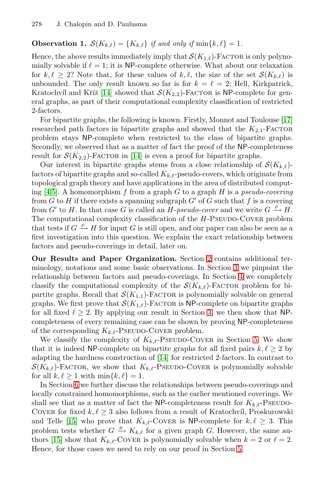## **Observation 1.**  $\mathcal{S}(K_{k,\ell}) = \{K_{k,\ell}\}\$  *if and only if*  $\min\{k,\ell\} = 1$ *.*

Hence, the above results immediately imply that  $\mathcal{S}(K_{1,\ell})$ -FACTOR is only polynomially solvable if  $\ell = 1$ ; it is NP-complete otherwise. What about our relaxation for  $k, \ell \geq 2$ ? Note that, for these values of  $k, \ell$ , the size of the set  $\mathcal{S}(K_{k,\ell})$  is unbounded[. Th](#page-11-4)e only result known so far is for  $k = \ell = 2$ ; Hell, Kirkpatrick, Kratochvíl and Kříž [14] showed that  $\mathcal{S}(K_{2,2})$ -Factor is NP-complete for general graphs, as part of their computational complexity classification of restricted 2-factors.

For bipartite graphs, the following is known. Firstly, Monnot and Toulouse [17] researched path factors in bipartite graphs and showed that the  $K_{2,1}$ -Factor problem stays NP-complete when restricted to the class of bipartite graphs. Secondly, we observed that as a matter of fact the proof of the NP-completeness result for  $S(K_{2,2})$ -Factor in [14] is even a proof for bipartite graphs.

Our interest in bipartite graphs stems from a close relationship of  $\mathcal{S}(K_{k,\ell})$ factors of bipartite graphs and so-called  $K_{k,\ell}$ -pseudo-covers, which originate from topological graph theory and have applications in the area of distributed computing [4,5]. A homomorphism f fro[m](#page-3-0) [a](#page-3-0) graph G to a graph H is a *pseudo-covering* from G to H if there exists a spanning sub[gra](#page-3-1)ph  $G'$  of G such that f is a covering from  $G'$  to H. In that case G is called an H-*[ps](#page-4-0)eudo-cover* and we write  $G \stackrel{P}{\rightarrow} H$ . The computational complexity classification of the  $H$ -PSEUDO-COVER problem that tests if  $G \stackrel{P}{\to} H$  for input G is still open, and our paper can also be seen as a first investigation into this question. We explain the exact relationship between factors and pseudo-coverings in de[ta](#page-3-1)il, later on.

**Our Results and Paper Organization.** Section 2 contains additional terminology, notations and some basic observation[s.](#page-5-0) In Section 3 we pinpoint the relationship between factors and pseudo-coverings. In Section 4 we completely classify the compu[tatio](#page-11-4)nal complexity of the  $\mathcal{S}(K_{k,\ell})$ -FACTOR problem for bipartite graphs. Recall that  $\mathcal{S}(K_{1,1})$ -FACTOR is polynomially solvable on general graphs. We first prove that  $\mathcal{S}(K_{1,\ell})$ -FACTOR is NP-complete on bipartite graphs for all fixed  $\ell \geq 2$ . By applying our result in Section 3, we then show that NPcompleteness of every remaining case can be shown by proving NP-completeness of the corresponding  $K_{k,\ell}$ -PSEUDO-COVER problem.

We classify the complexity of  $K_{k,\ell}$ -Pseudo-Cover in Section 5. We show that it is indeed NP-complete on bipartite graphs for all fixed pairs  $k, \ell \geq 2$  by adapting the hardness construction of [14] for restricted 2-factors. In contrast to  $\mathcal{S}(K_{k,\ell})$ -Factor, we show that  $K_{k,\ell}$ -Pseudo-Cover is polynomially solvable for all  $k, \ell \geq 1$  with  $\min\{k, \ell\} = 1$ .

In Section 6 we further discuss the relatio[ns](#page-5-0)hips between pseudo-coverings and locally constrained homomorphisms, such as the earlier mentioned coverings. We shall see that as a matter of fact the NP-completeness result for  $K_{k,\ell}$ -PSEUDO-COVER for fixed  $k, \ell \geq 3$  also follows from a result of Kratochvíl, Proskurowski and Telle [15] who prove that  $K_{k,\ell}$ -Cover is NP-complete for  $k,\ell \geq 3$ . This problem tests whether  $G \stackrel{B}{\rightarrow} K_{k,\ell}$  for a given graph G. However, the same authors [15] show that  $K_{k,\ell}$ -COVER is polynomially solvable when  $k = 2$  or  $\ell = 2$ . Hence, for those cases we need to rely on our proof in Section 5.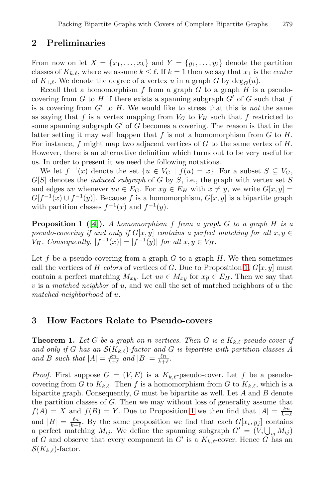## <span id="page-3-0"></span>**2 Preliminaries**

From now on let  $X = \{x_1, \ldots, x_k\}$  and  $Y = \{y_1, \ldots, y_\ell\}$  denote the partition classes of  $K_{k,\ell}$ , where we assume  $k \leq \ell$ . If  $k = 1$  then we say that  $x_1$  is the *center* of  $K_{1,\ell}$ . We denote the degree of a vertex u in a graph G by  $\deg_G(u)$ .

Recall that a homomorphism  $f$  from a graph  $G$  to a graph  $H$  is a pseudocovering from G to H if there exists a spanning subgraph  $G'$  of G such that f is a covering from  $G'$  to  $H$ . We would like to stress that this is *not* the same as saying that f is a vertex mapping from  $V_G$  to  $V_H$  such that f restricted to some spanning subgraph  $G'$  of G becomes a covering. The reason is that in the latter setting it may well happen that  $f$  is not a homomorphism from  $G$  to  $H$ . For instance,  $f$  might map two adjacent vertices of  $G$  to the same vertex of  $H$ . [H](#page-11-6)owever, there is an alternative definition which turns out to be very useful for us. In order to present it we need the following notations.

<span id="page-3-2"></span>We let  $f^{-1}(x)$  denote the set  $\{u \in V_G \mid f(u) = x\}$ . For a subset  $S \subseteq V_G$ ,  $G[S]$  denotes the *induced subgraph* of G by S, i.e., the graph with vertex set S and edges uv whenever  $uv \in E_G$ . For  $xy \in E_H$  with  $x \neq y$ , we write  $G[x, y] =$  $G[f^{-1}(x) \cup f^{-1}(y)]$ . Because f is a homomor[ph](#page-3-2)ism,  $G[x, y]$  is a bipartite graph with partition classes  $f^{-1}(x)$  and  $f^{-1}(y)$ .

**Proposition 1 ([4]).** *A homomorphism* f *from a graph* G *to a graph* H *is a pseudo-covering if and only if*  $G[x, y]$  *contains a perfect matching for all*  $x, y \in$  $V_H$ *. Consequently,*  $|f^{-1}(x)| = |f^{-1}(y)|$  *for all*  $x, y \in V_H$ *.* 

<span id="page-3-3"></span><span id="page-3-1"></span>Let f be a pseudo-covering from a graph  $G$  to a graph  $H$ . We then sometimes call the vertices of H *colors* of vertices of G. Due to Proposition 1,  $G[x, y]$  must contain a perfect matching  $M_{xy}$ . Let  $uv \in M_{xy}$  for  $xy \in E_H$ . Then we say that v is a *matched neighbor* of u, and we call the set of matched neighbors of u the *matched neighborhood* of u.

## **3 How Factors Relate to Pseudo-covers**

**Theorem 1.** Let G be a gra[ph](#page-3-2) on n vertices. Then G is a  $K_{k,\ell}$ -pseudo-cover if and only if G has an  $\mathcal{S}(K_{k,\ell})$ -factor and G is bipartite with partition classes A *and B such that*  $|A| = \frac{kn}{k+\ell}$  *and*  $|B| = \frac{\ell n}{k+\ell}$ .

*Proof.* First suppose  $G = (V, E)$  is a  $K_{k,\ell}$ -pseudo-cover. Let f be a pseudocovering from G to  $K_{k,\ell}$ . Then f is a homomorphism from G to  $K_{k,\ell}$ , which is a bipartite graph. Consequently,  $G$  must be bipartite as well. Let  $A$  and  $B$  denote the partition classes of G. Then we may without loss of generality assume that  $f(A) = X$  and  $f(B) = Y$ . Due to Proposition 1 we then find that  $|A| = \frac{kn}{k+\ell}$ and  $|B| = \frac{\ell n}{k+\ell}$ . By the same proposition we find that each  $G[x_i, y_j]$  contains a perfect matching  $M_{ij}$ . We define the spanning subgraph  $G' = (V, \bigcup_{ij} M_{ij})$ of G and observe that every component in G' is a  $K_{k,\ell}$ -cover. Hence G has an  $\mathcal{S}(K_{k,\ell})$ -factor.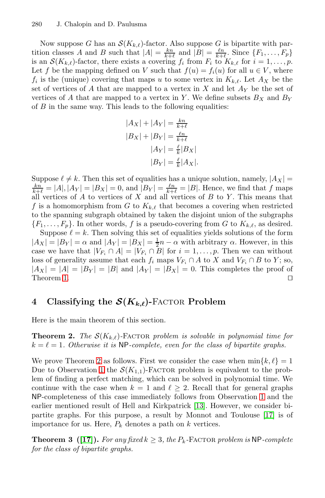Now suppose G has an  $\mathcal{S}(K_{k,\ell})$ -factor. Also suppose G is bipartite with partition classes A and B such that  $|A| = \frac{kn}{k+\ell}$  and  $|B| = \frac{\ell n}{k+\ell}$ . Since  $\{F_1, \ldots, F_p\}$ is an  $\mathcal{S}(K_{k,\ell})$ -factor, there exists a covering  $f_i$  from  $F_i$  to  $K_{k,\ell}$  for  $i=1,\ldots,p$ . Let f be the mapping defined on V such that  $f(u) = f_i(u)$  for all  $u \in V$ , where  $f_i$  is the (unique) covering that maps u to some vertex in  $K_{k,\ell}$ . Let  $A_X$  be the set of vertices of A that are mapped to a vertex in X and let  $A<sub>Y</sub>$  be the set of vertices of A that are mapped to a vertex in Y. We define subsets  $B_X$  and  $B_Y$ of  $B$  in the same way. This leads to the following equalities:

$$
|A_X| + |A_Y| = \frac{kn}{k+\ell}
$$
  

$$
|B_X| + |B_Y| = \frac{\ell n}{k+\ell}
$$
  

$$
|A_Y| = \frac{\ell}{k}|B_X|
$$
  

$$
|B_Y| = \frac{\ell}{k}|A_X|.
$$

Suppose  $\ell \neq k$ . Then this set of equalities has a unique solution, namely,  $|A_X| = \frac{k_n}{k} - |A| |A_X| - |B_X| - 0$  and  $|B_X| = \frac{\ell_n}{k} - |B|$ . Hence we find that f maps  $\frac{kn}{k+\ell} = |A|, |A_Y| = |B_X| = 0$ , and  $|B_Y| = \frac{\ell n}{k+\ell} = |B|$ . Hence, we find that f maps all vertices of A to vertices of X and all vertices of B to Y. This means that f is a homomorphism from G to  $K_{k,\ell}$  that becomes a covering when restricted to the spanning subgraph obtained by taken the disjoint union of the subgraphs  $\{F_1,\ldots,F_p\}$ . In other words, f is a pseudo-covering from G to  $K_{k,\ell}$ , as desired. Suppose  $\ell = k$ . Then solving this set of equalities yields solutions of the form  $|A_X| = |B_Y| = \alpha$  and  $|A_Y| = |B_X| = \frac{1}{2}n - \alpha$  with arbitrary  $\alpha$ . However, in this case we have that  $|V_{F_i} \cap A| = |V_{F_i} \cap B|$  for  $i = 1, \ldots, p$ . Then we can without

<span id="page-4-1"></span><span id="page-4-0"></span>loss of generality assume that each  $f_i$  maps  $V_{F_i} \cap A$  to  $X$  and  $V_{F_i} \cap B$  to  $Y$ ; so,  $|A_X| = |A| = |B_Y| = |B|$  and  $|A_Y| = |B_X| = 0$ . This completes the proof of Theorem 1.  $\Box$ 

# **[4](#page-1-0) Classifying the** *S***(***Kk,-***)-**Factor **Problem**

Here is the main theorem of this section.

**Theorem 2.** *The*  $\mathcal{S}(K_{k,\ell})$ -FACTOR problem is solvable in polynomial time for  $k = \ell = 1$ . Otherwise it is NP-complete, even for th[e cl](#page-11-5)ass of bipartite graphs.

We prove Theorem 2 as follows. First we consider the case when  $\min\{k,\ell\} = 1$ Due to Observation 1 the  $\mathcal{S}(K_{1,1})$ -Factor problem is equivalent to the problem of finding a perfect matching, which can be solved in polynomial time. We continue with the case when  $k = 1$  and  $\ell \geq 2$ . Recall that for general graphs NP-completeness of this case immediately follows from Observation 1 and the earlier mentioned result of Hell and Kirkpatrick [13]. However, we consider bipartite graphs. For this purpose, a result by Monnot and Toulouse [17] is of importance for us. Here,  $P_k$  denotes a path on k vertices.

**Theorem 3** ([17]). For any fixed  $k \geq 3$ , the  $P_k$ -FACTOR problem is NP-complete *for the class of bipartite graphs.*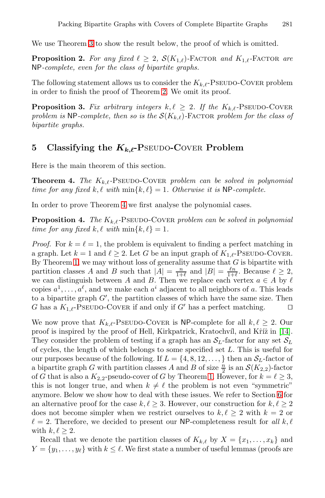We use Theorem 3 to show the result below, the proof of which is omitted.

<span id="page-5-0"></span>**Proposition 2.** For any fixed  $\ell \geq 2$ ,  $\mathcal{S}(K_{1,\ell})$ -FACTOR and  $K_{1,\ell}$ -FACTOR are NP*-complete, even for the class of bipartite graphs.*

<span id="page-5-1"></span>The following statement allows us to consider the  $K_{k,\ell}$ -PSEUDO-COVER problem in order to finish the proof of Theorem 2. We omit its proof.

**Proposition 3.** Fix arbitrary integers  $k, \ell \geq 2$ . If the  $K_{k,\ell}$ -PSEUDO-COVER *problem is* NP-complete, then so is the  $\mathcal{S}(K_{k,\ell})$ -Factor *problem for the class of bipartite graphs.*

## 5 Classifying the  $K_{k,\ell}$ -PSEUDO-COVER Problem

Here is the main theorem of this section.

**Theorem 4.** *The*  $K_{k,\ell}$ -PSEUDO-COVER *problem can be solved in polynomial*  $time for any fixed k, \ell \ with \ min\{k, \ell\} = 1$ . Otherwise it is NP-complete.

In order to prove Theorem 4 we first analyse the polynomial cases.

**Proposition 4.** *The*  $K_{k,\ell}$ -PSEUDO-COVER *problem can be solved in polynomial time for any fixed*  $k, \ell$  *with*  $\min\{k, \ell\} = 1$ *.* 

*Proof.* For  $k = \ell = 1$ , the problem is equivalent to finding a perfect matching in a graph. Let  $k = 1$  and  $\ell \geq 2$ . Let G be an input graph of  $K_{1,\ell}$ -PSEUDO-COVER. By Theorem 1, we may without loss of generality assume [tha](#page-11-4)t  $G$  is bipartite with partition classes A and B such that  $|A| = \frac{n}{1+\ell}$  and  $|B| = \frac{\ell n}{1+\ell}$ . Because  $\ell \geq 2$ , we can distinguish between A and B. Then we replace each vertex  $a \in A$  by  $\ell$ copies  $a^1, \ldots, a^{\ell}$ , and we make each  $a^i$  adjacent to all neighbors of a. This leads to a bipartite graph  $G'$ , the partition classes of which have the same size. Then G has a  $K_{1,\ell}$ -PSEUDO-COVER if a[nd](#page-3-3) only if G' has a perfect matching.  $\Box$ 

We now prove that  $K_{k,\ell}$ -PSEUDO-COVER is NP-compl[ete](#page-9-0) for all  $k,\ell \geq 2$ . Our proof is inspired by the proof of Hell, Kirkpatrick, Kratochvíl, and Kr̃i $\hat{z}$  in [14]. They consider the problem of testing if a graph has an  $S_L$ -factor for any set  $S_L$ of cycles, the length of which belongs to some specified set L. This is useful for our purposes because of the following. If  $L = \{4, 8, 12, \ldots\}$  then an  $S_L$ -factor of a bipartite graph G with partition classes A and B of size  $\frac{n}{2}$  is an  $\mathcal{S}(K_{2,2})$ -factor of G that is also a  $K_{2,2}$ -pseudo-cover of G by Theorem 1. However, for  $k = \ell \geq 3$ , this is not longer true, and when  $k \neq \ell$  the problem is not even "symmetric" anymore. Below we show how to deal with these issues. We refer to Section 6 for an alternative proof for the case  $k, \ell \geq 3$ . However, our construction for  $k, \ell \geq 2$ does not become simpler when we restrict ourselves to  $k, \ell \geq 2$  with  $k = 2$  or  $\ell = 2$ . Therefore, we decided to present our NP-completeness result for *all* k,  $\ell$ with  $k, \ell \geq 2$ .

Recall that we denote the partition classes of  $K_{k,\ell}$  by  $X = \{x_1, \ldots, x_k\}$  and  $Y = \{y_1, \ldots, y_\ell\}$  with  $k \leq \ell$ . We first state a number of useful lemmas (proofs are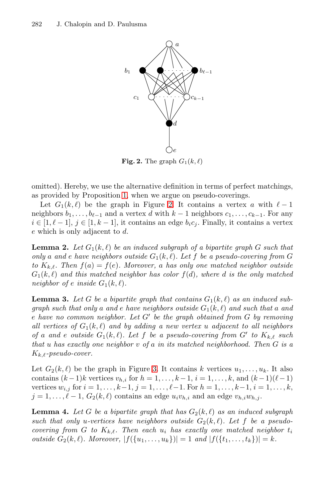

**Fig. 2.** The graph  $G_1(k, \ell)$ 

omitted). Hereby, we use the alternative definition in terms of perfect matchings, as provided by Proposition 1, when we argue on pseudo-coverings.

Let  $G_1(k, \ell)$  be the graph in Figure 2. It contains a vertex a with  $\ell - 1$ neighbors  $b_1, \ldots, b_{\ell-1}$  and a vertex d with  $k-1$  neighbors  $c_1, \ldots, c_{k-1}$ . For any  $i \in [1, \ell - 1], j \in [1, k - 1],$  it contains an edge  $b_i c_j$ . Finally, it contains a vertex e which is only adjacent to d.

**Lemma 2.** Let  $G_1(k, \ell)$  be an induced subgraph of a bipartite graph G such that *only* a and *e* have neighbors outside  $G_1(k, \ell)$ . Let f be a pseudo-covering from G *to*  $K_{k,\ell}$ *. Then*  $f(a) = f(e)$ *. Moreover,* a *has only one matched neighbor outside*  $G_1(k, \ell)$  and this matched neighbor has color  $f(d)$ , where d is the only matched *neighbor of e inside*  $G_1(k, \ell)$ .

**Lemma 3.** Let [G](#page-7-0) be a bipartite graph that contains  $G_1(k, \ell)$  as an induced sub $graph \ such \ that \ only \ a \ and \ e \ have \ neighbors \ outside \ G_1(k, \ell) \ and \ such \ that \ a \ and \$ e have no common neighbor. Let G' be the graph obtained from G by removing all vertices of  $G_1(k, \ell)$  and by adding a new vertex u adjacent to all neighbors *of* a and *e outside*  $G_1(k, \ell)$ *. Let* f *be a pseudo-covering from*  $G'$  *to*  $K_{k, \ell}$  *such that* u *has exactly one neighbor* v *of* a *in its matched neighborhood. Then* G *is a* Kk,*-pseudo-cover.*

Let  $G_2(k, \ell)$  be the graph in Figure 3. It contains k vertices  $u_1, \ldots, u_k$ . It also contains  $(k-1)k$  vertices  $v_{h,i}$  for  $h = 1, \ldots, k-1$ ,  $i = 1, \ldots, k$ , and  $(k-1)(\ell-1)$ vertices  $w_{i,j}$  for  $i = 1, ..., k-1, j = 1, ..., \ell-1$ . For  $h = 1, ..., k-1, i = 1, ..., k$ ,  $j = 1, \ldots, \ell-1, G_2(k, \ell)$  contains an edge  $u_i v_{h,i}$  and an edge  $v_{h,i} w_{h,j}$ .

**Lemma 4.** Let G be a bipartite graph that has  $G_2(k, \ell)$  as an induced subgraph such that only u-vertices have neighbors outside  $G_2(k, \ell)$ . Let f be a pseudo*covering from* G to  $K_{k,\ell}$ . Then each  $u_i$  has exactly one matched neighbor  $t_i$ *outside*  $G_2(k, \ell)$ *. Moreover,*  $|f(\{u_1, \ldots, u_k\})| = 1$  *and*  $|f(\{t_1, \ldots, t_k\})| = k$ *.*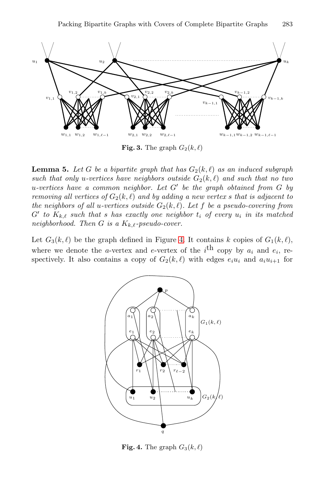<span id="page-7-0"></span>

**Fig. 3.** The graph  $G_2(k, \ell)$ 

**Lemma 5.** Let G be a bi[pa](#page-7-1)rtite graph that has  $G_2(k, \ell)$  as an induced subgraph such that only u-vertices have neighbors outside  $G_2(k, \ell)$  and such that no two u-vertices have a common neighbor. Let G' be the graph obtained from G by *removing all vertices of*  $G_2(k, \ell)$  *and by adding a new vertex s that is adjacent to the neighbors of all u-vertices outside*  $G_2(k, \ell)$ *. Let* f *be a pseudo-covering from*  $G'$  to  $K_{k,\ell}$  such that *s* has exactly one neighbor  $t_i$  of every  $u_i$  in its matched *neighborhood. Then*  $G$  *is a*  $K_{k,\ell}$ -pseudo-cover.

Let  $G_3(k, \ell)$  be the graph defined in Figure 4. It contains k copies of  $G_1(k, \ell)$ , where we denote the *a*-vertex and *e*-vertex of the *i*<sup>th</sup> copy by  $a_i$  and  $e_i$ , respectively. It also contains a copy of  $G_2(k, \ell)$  with edges  $e_i u_i$  and  $a_i u_{i+1}$  for



<span id="page-7-1"></span>**Fig. 4.** The graph  $G_3(k, \ell)$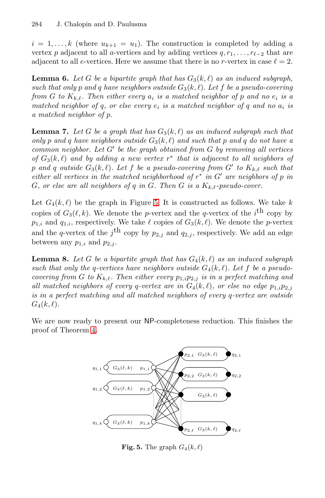$i = 1, \ldots, k$  (where  $u_{k+1} = u_1$ ). The construction is completed by adding a vertex p adjacent to all a-vertices and by adding vertices  $q, r_1, \ldots, r_{\ell-2}$  that are adjacent to all e-vertices. Here we assume that there is no r-vertex in case  $\ell = 2$ .

**Lemma 6.** Let G be a bipartite graph that has  $G_3(k, \ell)$  as an induced subgraph,  $\mathbf{B}$  *such that only*  $p$  *and*  $q$  *have neighbors outside*  $G_3(k, \ell)$ *. Let*  $f$  *be a pseudo-covering from G* to  $K_{k,\ell}$ . Then either every  $a_i$  *is a matched neighbor of* p *and no*  $e_i$  *is a matched neighbor of q, or else every*  $e_i$  *is a matched neighbor of q and no*  $a_i$  *is a matched neighbor of* p*.*

**Lemma 7.** Let G [b](#page-8-0)e a graph that has  $G_3(k, \ell)$  as an induced subgraph such that only p and q have neighbors outside  $G_3(k, \ell)$  and such that p and q do not have a *common neighbor. Let* G' *be the graph obtained from* G *by removing all vertices of*  $G_3(k, \ell)$  and by adding a new vertex  $r^*$  that is adjacent to all neighbors of  $p$  and  $q$  *outside*  $G_3(k, \ell)$ . Let  $f$  be a pseudo-covering from  $G'$  to  $K_{k, \ell}$  such that *either all vertices in the matched neighborhood of*  $r$ <sup>\*</sup> *in* G' are neighbors of p *in* G, or else are all neighbors of q in G. Then G is a  $K_{k,\ell}$ -pseudo-cover.

<span id="page-8-1"></span>Let  $G_4(k, \ell)$  be the graph in Figure 5. It is constructed as follows. We take k copies of  $G_3(\ell, k)$ . We denote the p-vertex and the q-vertex of the i<sup>th</sup> copy by  $p_{1,i}$  and  $q_{1,i}$ , respectively. We take  $\ell$  copies of  $G_3(k, \ell)$ . We denote the p-vertex and the q-vertex of the j<sup>th</sup> copy by  $p_{2,j}$  and  $q_{2,j}$ , respectively. We add an edge between any  $p_{1,i}$  and  $p_{2,j}$ .

**[L](#page-5-1)emma 8.** Let G be a bipartite graph that has  $G_4(k, \ell)$  as an induced subgraph such that only the q-vertices have neighbors outside  $G_4(k, \ell)$ . Let f be a pseudo*covering from* G to  $K_{k,\ell}$ . Then either every  $p_{1,i}p_{2,i}$  *is in a perfect matching and all matched neighbors of every q-vertex are in*  $G_4(k, \ell)$ , or else no edge  $p_{1,i}p_{2,j}$ *is in a perfect matching and all matched neighbors of every* q*-vertex are outside*  $G_4(k, \ell)$ .

We are now ready to present our NP-completeness reduction. This finishes the proof of Theorem 4.

<span id="page-8-0"></span>

**Fig. 5.** The graph  $G_4(k, \ell)$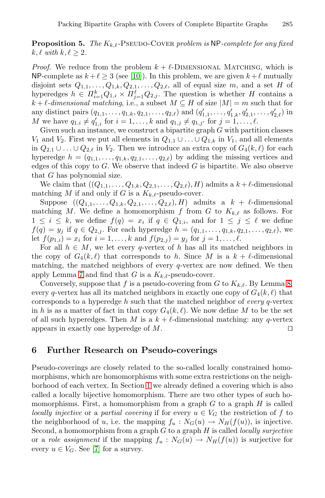**Proposition 5.** *The*  $K_{k,\ell}$ -PSEUDO-COVER *problem is* NP-*complete for any fixed*  $k, \ell \text{ with } k, \ell \geq 2.$ 

*Proof.* We reduce from the problem  $k + \ell$ -DIMENSIONAL MATCHING, which is NP-complete as  $k + \ell \geq 3$  (see [10]). In this problem, we are given  $k + \ell$  mutually disjoint sets  $Q_{1,1},\ldots,Q_{1,k},Q_{2,1},\ldots,Q_{2,\ell}$ , all of equal size m, and a set H of hyperedges  $h \in \Pi_{i=1}^k Q_{1,i} \times \Pi_{j=1}^{\ell} Q_{2,j}$ . The question is whether H contains a  $k + \ell$ -dimensional matching, i.e., a subset  $M \subseteq H$  of size  $|M| = m$  such that for any distinct pairs  $(q_{1,1},\ldots,q_{1,k},q_{2,1},\ldots,q_{2,\ell})$  and  $(q'_{1,1},\ldots,q'_{1,k},q'_{2,1},\ldots,q'_{2,\ell})$  in M we have  $q_{1,i} \neq q'_{1,i}$  for  $i = 1, ..., k$  and  $q_{1,j} \neq q_{1,j'}$  for  $j = 1, ..., \ell$ .

Given such an instance, we construct a bipartite graph  $G$  with partition classes  $V_1$  and  $V_2$ . First we put all elements in  $Q_{1,1} \cup \ldots \cup Q_{1,k}$  in  $V_1$ , and all elements in  $Q_{2,1} \cup \ldots \cup Q_{2,\ell}$  in  $V_2$ . Then we introduce an extra copy of  $G_4(k,\ell)$  for each hyperedge  $h = (q_{1,1},\ldots,q_{1,k},q_{2,1},\ldots,q_{2,\ell})$  by adding the missing vertices and edges of this copy to  $G$ . We observe that indeed  $G$  is bipartite. We also observe that G has polynomial size.

We claim that  $((Q_{1,1},...,Q_{1,k},Q_{2,1},...,Q_{2,\ell}),H)$  admits a  $k+\ell$ -dimensional matching M if and only if G is a  $K_{k,\ell}$ -pseudo-cover.

Suppose  $((Q_{1,1},\ldots,Q_{1,k},Q_{2,1},\ldots,Q_{2,\ell}),H)$  admits a  $k + \ell$ -dimensional matching M. We define a homomorphism f from G to  $K_{k,\ell}$  $K_{k,\ell}$  as follows. For  $1 \leq i \leq k$ , we define  $f(q) = x_i$  if  $q \in Q_{1,i}$ , and for  $1 \leq j \leq \ell$  we define  $f(q) = y_j$  if  $q \in Q_{2,j}$ . For each hyperedge  $h = (q_{1,1},...,q_{1,k}, q_{2,1},...,q_{2,\ell})$ , we let  $f(p_{1,i}) = x_i$  for  $i = 1, ..., k$  and  $f(p_{2,j}) = y_j$  for  $j = 1, ..., \ell$ .

For all  $h \in M$ , we let every q-vertex of h has all its matched neighbors in the copy of  $G_4(k, \ell)$  that corresponds to h. Since M is a  $k + \ell$ -dimensional matching, the matched neighbors of every  $q$ -vertex are now defined. We then apply Lemma 7 and find that G is a  $K_{k,\ell}$ -pseudo-cover.

<span id="page-9-0"></span>Conversely, suppose that f is a pseudo-covering from G to  $K_{k,\ell}$ . By Lemma 8, every q-vertex has all its matched neighbors in exactly one copy of  $G_4(k, \ell)$  that corresponds to a hyperedge h such that the matched neighbor of *every* q-vertex in h is as a matter of fact in that copy  $G_4(k, \ell)$ . We now define M to be the set of all such hyp[ere](#page-0-0)dges. Then M is a  $k + \ell$ -dimensional matching: any q-vertex appears in exactly one hyperedge of M.  $\Box$ 

## **6 Further Research on Pseudo-coverings**

Pseudo-coverings are closely related to the so-called locally constrained homo[m](#page-11-7)orphisms, which are homomorphisms with some extra restrictions on the neighborhood of each vertex. In Section 1 we already defined a covering which is also called a locally bijective homomorphism. There are two other types of such homomorphisms. First, a homomorphism from a graph  $G$  to a graph  $H$  is called *locally injective* or a *partial covering* if for every  $u \in V_G$  the restriction of f to the neighborhood of u, i.e. the mapping  $f_u: N_G(u) \to N_H(f(u))$ , is injective. Second, a homomorphism from a graph G to a graph H is called *locally surjective* or a *role assignment* if the mapping  $f_u : N_G(u) \to N_H(f(u))$  is surjective for every  $u \in V_G$ . See [7] for a survey.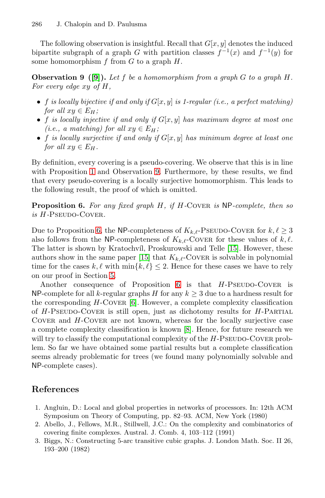<span id="page-10-2"></span>The following observation is insightful. Recall that  $G[x, y]$  denotes the induced bipartite subgraph of a graph G with partition classes  $f^{-1}(x)$  and  $f^{-1}(y)$  for some homomorphism  $f$  from  $G$  to a graph  $H$ .

**Observation 9 ([9]).** *Let* f *be a homomorphism from a graph* G *to a graph* H*. For every edge* xy *of* H*,*

- f *is locally bije[cti](#page-10-2)ve if and only if*  $G[x, y]$  *is 1-regular (i.e., a perfect matching) for all*  $xy \in E_H$ *;*
- <span id="page-10-3"></span>• f *is locally injective if and only if* G[x, y] *has maximum degree at most one (i.e., a matching) for all*  $xy \in E_H$ ;
- f *is locally surjective if and only if* G[x, y] *has minimum degree at least one for all*  $xy \in E_H$ .

[By](#page-10-3) definition, every covering is a pseudo-covering. We observe that this is in line with Proposition 1 and Observation 9. Furthermore, by these results, we find that every pseudo-covering is a locally s[urje](#page-11-8)ctive homomorphism. This leads to the following [resu](#page-11-8)lt, the proof of which is omitted.

**Pro[po](#page-5-0)sition 6.** *For any fixed graph* H*, if* H*-*Cover *is* NP*-complete, then so is* H*-*Pseudo-Cover*.*

Due to Pro[po](#page-11-9)sition 6, the NP-completeness of  $K_{k,\ell}$ -PSEUDO-COVER for  $k,\ell \geq 3$ also follows from the NP-completeness of  $K_{k,\ell}$ -Cover for these values of  $k,\ell$ . The latter is shown by Kratochvíl, Proskurowski and Telle [15]. However, these authors show in the same p[ap](#page-11-10)er [15] that  $K_{k,\ell}$ -Cover is solvable in polynomial time for the cases  $k, \ell$  with  $\min\{k, \ell\} \leq 2$ . Hence for these cases we have to rely on our proof in Section 5.

<span id="page-10-1"></span>Another consequence of Proposition  $6$  is that  $H$ -PSEUDO-COVER is NP-complete for all k-regular graphs H for any  $k \geq 3$  due to a hardness result for the corresponding  $H$ -Cover [6]. However, a complete complexity classification of  $H$ -PSEUDO-COVER is still open, just as dichotomy results for  $H$ -PARTIAL COVER and  $H$ -COVER are not known, whereas for the locally surjective case a complete complexity classification is known [8]. Hence, for future research we will try to classify the computational complexity of the  $H$ -Pseudo-Cover problem. So far we have obtained some partial results but a complete classification seems already problematic for trees (we found many polynomially solvable and NP-complete cases).

### <span id="page-10-0"></span>**References**

- 1. Angluin, D.: Local and global properties in networks of processors. In: 12th ACM Symposium on Theory of Computing, pp. 82–93. ACM, New York (1980)
- 2. Abello, J., Fellows, M.R., Stillwell, J.C.: On the complexity and combinatorics of covering finite complexes. Austral. J. Comb. 4, 103–112 (1991)
- 3. Biggs, N.: Constructing 5-arc transitive cubic graphs. J. London Math. Soc. II 26, 193–200 (1982)